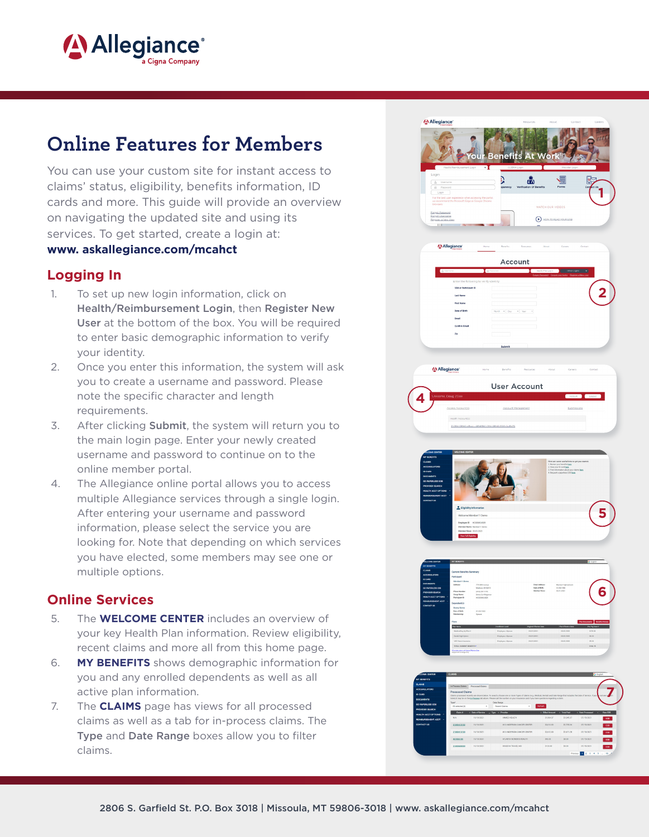

# **Online Features for Members**

You can use your custom site for instant access to claims' status, eligibility, benefits information, ID cards and more. This guide will provide an overview on navigating the updated site and using its services. To get started, create a login at:

#### www. askallegiance.com/mcahct

#### **Logging In**

- 1. To set up new login information, click on Health/Reimbursement Login, then Register New User at the bottom of the box. You will be required to enter basic demographic information to verify your identity.
- 2. Once you enter this information, the system will ask you to create a username and password. Please note the specific character and length requirements.
- 3. After clicking **Submit**, the system will return you to the main login page. Enter your newly created username and password to continue on to the online member portal.
- 4. The Allegiance online portal allows you to access multiple Allegiance services through a single login. After entering your username and password information, please select the service you are looking for. Note that depending on which services you have elected, some members may see one or multiple options.

### **Online Services**

- 5. The **WELCOME CENTER** includes an overview of your key Health Plan information. Review eligibility, recent claims and more all from this home page.
- 6. **MY BENEFITS** shows demographic information for you and any enrolled dependents as well as all active plan information.
- 7. The **CLAIMS** page has views for all processed claims as well as a tab for in-process claims. The Type and Date Range boxes allow you to filter claims.